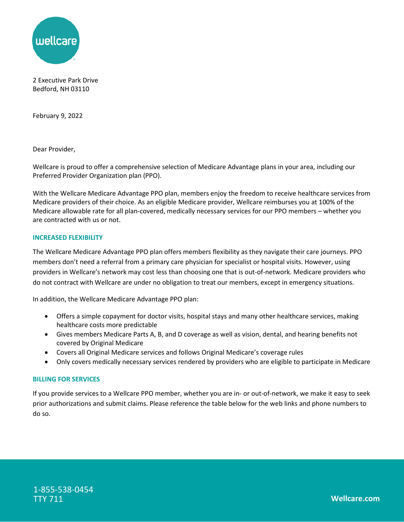

 2 Executive Park Drive Bedford, NH 03110

February 9, 2022

Dear Provider,

Dear Provider,<br>Wellcare is proud to offer a comprehensive selection of Medicare Advantage plans in your area, including our Preferred Provider Organization plan (PPO).

 With the Wellcare Medicare Advantage PPO plan, members enjoy the freedom to receive healthcare services from Medicare providers of their choice. As an eligible Medicare provider, Wellcare reimburses you at 100% of the Medicare allowable rate for all plan-covered, medically necessary services for our PPO members – whether you are contracted with us or not.

## **INCREASED FLEXIBILITY**

 The Wellcare Medicare Advantage PPO plan offers members flexibility as they navigate their care journeys. PPO members don't need a referral from a primary care physician for specialist or hospital visits. However, using providers in Wellcare's network may cost less than choosing one that is out-of-network. Medicare providers who do not contract with Wellcare are under no obligation to treat our members, except in emergency situations.

In addition, the Wellcare Medicare Advantage PPO plan:

- Offers a simple copayment for doctor visits, hospital stays and many other healthcare services, making healthcare costs more predictable
- Gives members Medicare Parts A, B, and D coverage as well as vision, dental, and hearing benefits not covered by Original Medicare
- Covers all Original Medicare services and follows Original Medicare's coverage rules
- Only covers medically necessary services rendered by providers who are eligible to participate in Medicare

## **BILLING FOR SERVICES**

 If you provide services to a Wellcare PPO member, whether you are in- or out-of-network, we make it easy to seek prior authorizations and submit claims. Please reference the table below for the web links and phone numbers to do so.